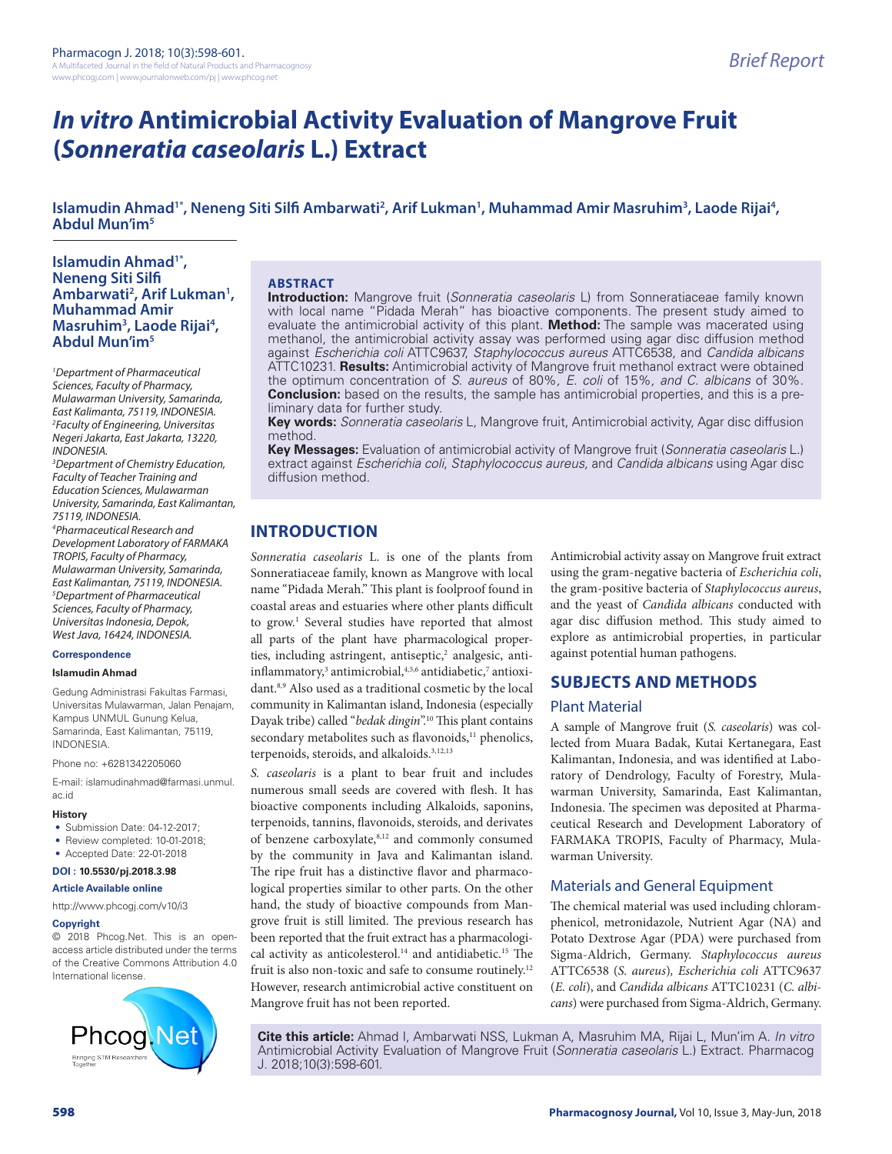# *In vitro* **Antimicrobial Activity Evaluation of Mangrove Fruit (***Sonneratia caseolaris* **L.) Extract**

Islamudin Ahmad<sup>1\*</sup>, Neneng Siti Silfi Ambarwati<sup>2</sup>, Arif Lukman<sup>1</sup>, Muhammad Amir Masruhim<sup>3</sup>, Laode Rijai<sup>4</sup>, **Abdul Mun'im5**

**Islamudin Ahmad1\*, Neneng Siti Silfi**  Ambarwati<sup>2</sup>, Arif Lukman<sup>1</sup>, **Muhammad Amir Masruhim3 , Laode Rijai4 , Abdul Mun'im5**

*1 Department of Pharmaceutical Sciences, Faculty of Pharmacy, Mulawarman University, Samarinda, East Kalimanta, 75119, INDONESIA. 2 Faculty of Engineering, Universitas Negeri Jakarta, East Jakarta, 13220, INDONESIA.*

*3 Department of Chemistry Education, Faculty of Teacher Training and Education Sciences, Mulawarman University, Samarinda, East Kalimantan, 75119, INDONESIA.*

*4 Pharmaceutical Research and Development Laboratory of FARMAKA TROPIS, Faculty of Pharmacy, Mulawarman University, Samarinda, East Kalimantan, 75119, INDONESIA. 5 Department of Pharmaceutical Sciences, Faculty of Pharmacy, Universitas Indonesia, Depok, West Java, 16424, INDONESIA.*

#### **Correspondence**

#### **Islamudin Ahmad**

Gedung Administrasi Fakultas Farmasi, Universitas Mulawarman, Jalan Penajam, Kampus UNMUL Gunung Kelua, Samarinda, East Kalimantan, 75119, INDONESIA.

Phone no: +6281342205060

E-mail: islamudinahmad@farmasi.unmul. ac.id

**History**

- Submission Date: 04-12-2017;
- Review completed: 10-01-2018;
- Accepted Date: 22-01-2018

**DOI : 10.5530/pj.2018.3.98**

#### **Article Available online**

http://www.phcogj.com/v10/i3

#### **Copyright**

© 2018 Phcog.Net. This is an openaccess article distributed under the terms of the Creative Commons Attribution 4.0 International license.



#### **ABSTRACT**

**Introduction:** Mangrove fruit (*Sonneratia caseolaris* L) from Sonneratiaceae family known with local name "Pidada Merah" has bioactive components. The present study aimed to evaluate the antimicrobial activity of this plant. **Method:** The sample was macerated using methanol, the antimicrobial activity assay was performed using agar disc diffusion method against *Escherichia coli* ATTC9637, *Staphylococcus aureus* ATTC6538*,* and *Candida albicans* ATTC10231. **Results:** Antimicrobial activity of Mangrove fruit methanol extract were obtained the optimum concentration of *S. aureus* of 80%*, E. coli* of 15%*, and C. albicans* of 30%. **Conclusion:** based on the results, the sample has antimicrobial properties, and this is a preliminary data for further study.

**Key words:** *Sonneratia caseolaris* L, Mangrove fruit, Antimicrobial activity, Agar disc diffusion method.

**Key Messages:** Evaluation of antimicrobial activity of Mangrove fruit (*Sonneratia caseolaris* L.) extract against *Escherichia coli*, *Staphylococcus aureus,* and *Candida albicans* using Agar disc diffusion method.

# **INTRODUCTION**

*Sonneratia caseolaris* L. is one of the plants from Sonneratiaceae family, known as Mangrove with local name "Pidada Merah." This plant is foolproof found in coastal areas and estuaries where other plants difficult to grow.<sup>1</sup> Several studies have reported that almost all parts of the plant have pharmacological properties, including astringent, antiseptic,<sup>2</sup> analgesic, antiinflammatory,<sup>3</sup> antimicrobial,<sup>4,5,6</sup> antidiabetic,<sup>7</sup> antioxidant.8,9 Also used as a traditional cosmetic by the local community in Kalimantan island, Indonesia (especially Dayak tribe) called "*bedak dingin*".10 This plant contains secondary metabolites such as flavonoids,<sup>11</sup> phenolics, terpenoids, steroids, and alkaloids.<sup>3,12,13</sup>

*S. caseolaris* is a plant to bear fruit and includes numerous small seeds are covered with flesh. It has bioactive components including Alkaloids, saponins, terpenoids, tannins, flavonoids, steroids, and derivates of benzene carboxylate,<sup>8,12</sup> and commonly consumed by the community in Java and Kalimantan island. The ripe fruit has a distinctive flavor and pharmacological properties similar to other parts. On the other hand, the study of bioactive compounds from Mangrove fruit is still limited. The previous research has been reported that the fruit extract has a pharmacological activity as anticolesterol.<sup>14</sup> and antidiabetic.<sup>15</sup> The fruit is also non-toxic and safe to consume routinely.<sup>12</sup> However, research antimicrobial active constituent on Mangrove fruit has not been reported.

Antimicrobial activity assay on Mangrove fruit extract using the gram-negative bacteria of *Escherichia coli*, the gram-positive bacteria of *Staphylococcus aureus*, and the yeast of *Candida albicans* conducted with agar disc diffusion method. This study aimed to explore as antimicrobial properties, in particular against potential human pathogens.

# **SUBJECTS AND METHODS**

#### Plant Material

A sample of Mangrove fruit (*S. caseolaris*) was collected from Muara Badak, Kutai Kertanegara, East Kalimantan, Indonesia, and was identified at Laboratory of Dendrology, Faculty of Forestry, Mulawarman University, Samarinda, East Kalimantan, Indonesia. The specimen was deposited at Pharmaceutical Research and Development Laboratory of FARMAKA TROPIS, Faculty of Pharmacy, Mulawarman University.

#### Materials and General Equipment

The chemical material was used including chloramphenicol, metronidazole, Nutrient Agar (NA) and Potato Dextrose Agar (PDA) were purchased from Sigma-Aldrich, Germany. *Staphylococcus aureus*  ATTC6538 (*S. aureus*)*, Escherichia coli* ATTC9637 (*E. coli*), and *Candida albicans* ATTC10231 (*C. albicans*) were purchased from Sigma-Aldrich, Germany.

**Cite this article:** Ahmad I, Ambarwati NSS, Lukman A, Masruhim MA, Rijai L, Mun'im A. *In vitro*  Antimicrobial Activity Evaluation of Mangrove Fruit (*Sonneratia caseolaris* L.) Extract. Pharmacog J. 2018;10(3):598-601.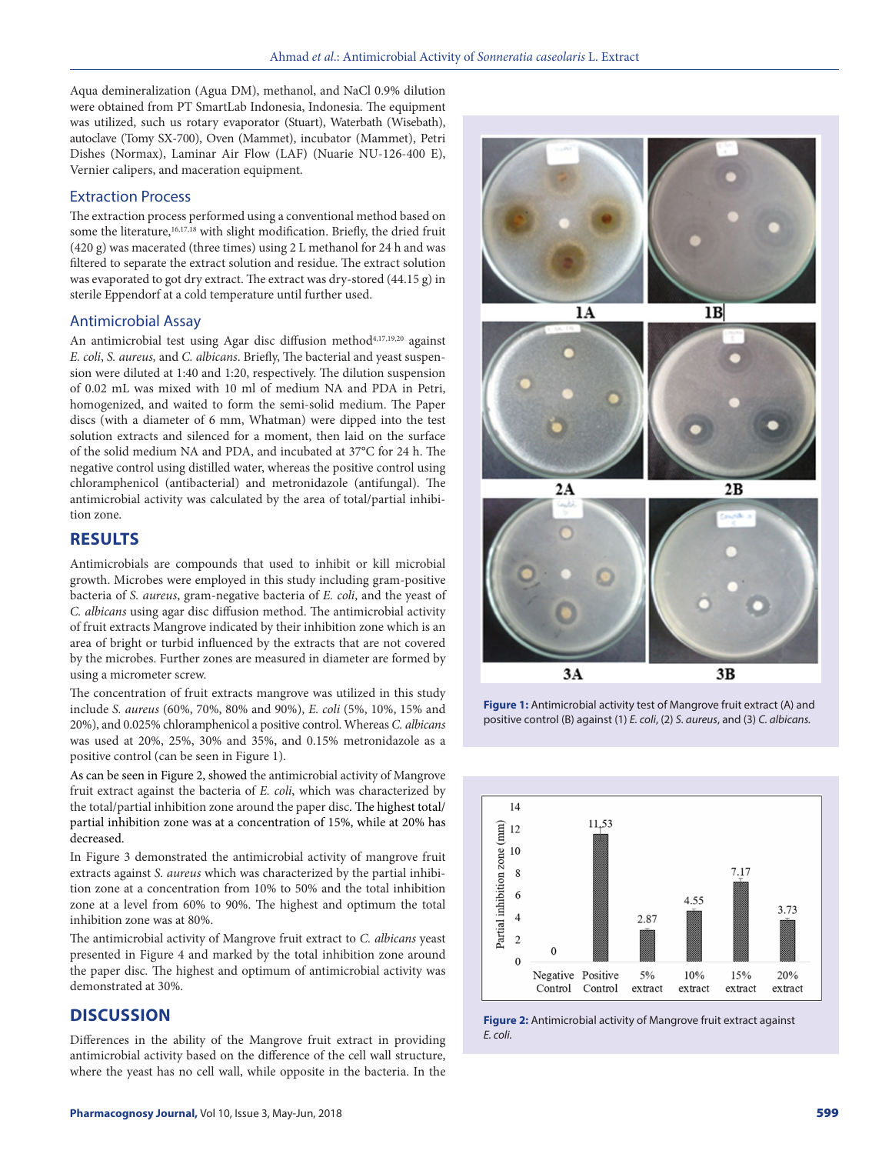Aqua demineralization (Agua DM), methanol, and NaCl 0.9% dilution were obtained from PT SmartLab Indonesia, Indonesia. The equipment was utilized, such us rotary evaporator (Stuart), Waterbath (Wisebath), autoclave (Tomy SX-700), Oven (Mammet), incubator (Mammet), Petri Dishes (Normax), Laminar Air Flow (LAF) (Nuarie NU-126-400 E), Vernier calipers, and maceration equipment.

#### Extraction Process

The extraction process performed using a conventional method based on some the literature,<sup>16,17,18</sup> with slight modification. Briefly, the dried fruit (420 g) was macerated (three times) using 2 L methanol for 24 h and was filtered to separate the extract solution and residue. The extract solution was evaporated to got dry extract. The extract was dry-stored (44.15 g) in sterile Eppendorf at a cold temperature until further used.

#### Antimicrobial Assay

An antimicrobial test using Agar disc diffusion method<sup>4,17,19,20</sup> against *E. coli*, *S. aureus,* and *C. albicans*. Briefly, The bacterial and yeast suspension were diluted at 1:40 and 1:20, respectively. The dilution suspension of 0.02 mL was mixed with 10 ml of medium NA and PDA in Petri, homogenized, and waited to form the semi-solid medium. The Paper discs (with a diameter of 6 mm, Whatman) were dipped into the test solution extracts and silenced for a moment, then laid on the surface of the solid medium NA and PDA, and incubated at 37°C for 24 h. The negative control using distilled water, whereas the positive control using chloramphenicol (antibacterial) and metronidazole (antifungal). The antimicrobial activity was calculated by the area of total/partial inhibition zone.

# **RESULTS**

Antimicrobials are compounds that used to inhibit or kill microbial growth. Microbes were employed in this study including gram-positive bacteria of *S. aureus*, gram-negative bacteria of *E. coli*, and the yeast of *C. albicans* using agar disc diffusion method. The antimicrobial activity of fruit extracts Mangrove indicated by their inhibition zone which is an area of bright or turbid influenced by the extracts that are not covered by the microbes. Further zones are measured in diameter are formed by using a micrometer screw.

The concentration of fruit extracts mangrove was utilized in this study include *S. aureus* (60%, 70%, 80% and 90%), *E. coli* (5%, 10%, 15% and 20%), and 0.025% chloramphenicol a positive control. Whereas *C. albicans* was used at 20%, 25%, 30% and 35%, and 0.15% metronidazole as a positive control (can be seen in Figure 1).

As can be seen in Figure 2, showed the antimicrobial activity of Mangrove fruit extract against the bacteria of *E. coli*, which was characterized by the total/partial inhibition zone around the paper disc. The highest total/ partial inhibition zone was at a concentration of 15%, while at 20% has decreased.

In Figure 3 demonstrated the antimicrobial activity of mangrove fruit extracts against *S. aureus* which was characterized by the partial inhibition zone at a concentration from 10% to 50% and the total inhibition zone at a level from 60% to 90%. The highest and optimum the total inhibition zone was at 80%.

The antimicrobial activity of Mangrove fruit extract to *C. albicans* yeast presented in Figure 4 and marked by the total inhibition zone around the paper disc*.* The highest and optimum of antimicrobial activity was demonstrated at 30%.

#### **DISCUSSION**

Differences in the ability of the Mangrove fruit extract in providing antimicrobial activity based on the difference of the cell wall structure, where the yeast has no cell wall, while opposite in the bacteria. In the



**Figure 1:** Antimicrobial activity test of Mangrove fruit extract (A) and positive control (B) against (1) *E. coli*, (2) *S. aureus*, and (3) *C. albicans.*



**Figure 2:** Antimicrobial activity of Mangrove fruit extract against *E. coli.*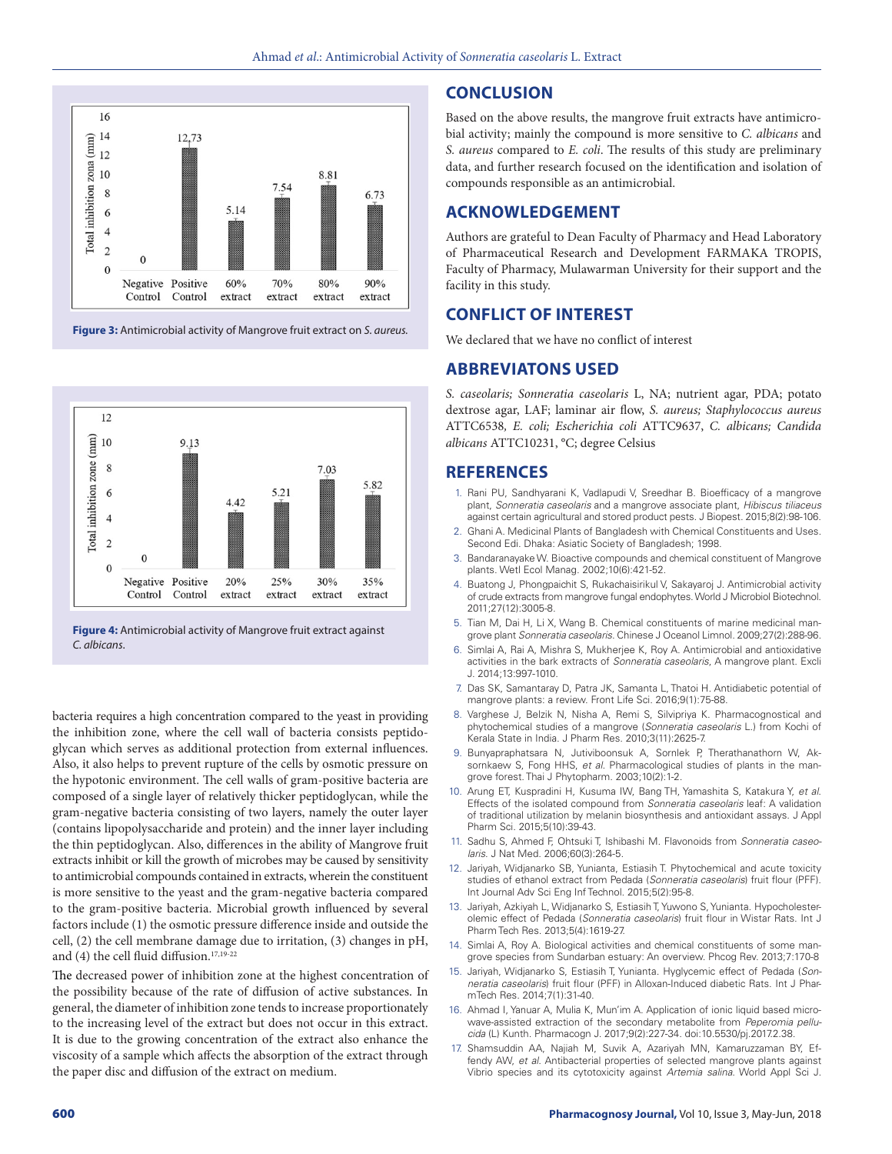

**Figure 3:** Antimicrobial activity of Mangrove fruit extract on *S. aureus.*



**Figure 4:** Antimicrobial activity of Mangrove fruit extract against *C. albicans*.

bacteria requires a high concentration compared to the yeast in providing the inhibition zone, where the cell wall of bacteria consists peptidoglycan which serves as additional protection from external influences. Also, it also helps to prevent rupture of the cells by osmotic pressure on the hypotonic environment. The cell walls of gram-positive bacteria are composed of a single layer of relatively thicker peptidoglycan, while the gram-negative bacteria consisting of two layers, namely the outer layer (contains lipopolysaccharide and protein) and the inner layer including the thin peptidoglycan. Also, differences in the ability of Mangrove fruit extracts inhibit or kill the growth of microbes may be caused by sensitivity to antimicrobial compounds contained in extracts, wherein the constituent is more sensitive to the yeast and the gram-negative bacteria compared to the gram-positive bacteria. Microbial growth influenced by several factors include (1) the osmotic pressure difference inside and outside the cell, (2) the cell membrane damage due to irritation, (3) changes in pH, and (4) the cell fluid diffusion.<sup>17,19-22</sup>

The decreased power of inhibition zone at the highest concentration of the possibility because of the rate of diffusion of active substances. In general, the diameter of inhibition zone tends to increase proportionately to the increasing level of the extract but does not occur in this extract. It is due to the growing concentration of the extract also enhance the viscosity of a sample which affects the absorption of the extract through the paper disc and diffusion of the extract on medium.

# **CONCLUSION**

Based on the above results, the mangrove fruit extracts have antimicrobial activity; mainly the compound is more sensitive to *C. albicans* and *S. aureus* compared to *E. coli*. The results of this study are preliminary data, and further research focused on the identification and isolation of compounds responsible as an antimicrobial.

## **ACKNOWLEDGEMENT**

Authors are grateful to Dean Faculty of Pharmacy and Head Laboratory of Pharmaceutical Research and Development FARMAKA TROPIS, Faculty of Pharmacy, Mulawarman University for their support and the facility in this study.

### **CONFLICT OF INTEREST**

We declared that we have no conflict of interest

#### **ABBREVIATONS USED**

*S. caseolaris; Sonneratia caseolaris* L, NA; nutrient agar, PDA; potato dextrose agar, LAF; laminar air flow, *S. aureus; Staphylococcus aureus*  ATTC6538*, E. coli; Escherichia coli* ATTC9637, *C. albicans; Candida albicans* ATTC10231, °C; degree Celsius

#### **REFERENCES**

- 1. Rani PU, Sandhyarani K, Vadlapudi V, Sreedhar B. Bioefficacy of a mangrove plant, *Sonneratia caseolaris* and a mangrove associate plant, *Hibiscus tiliaceus*  against certain agricultural and stored product pests. J Biopest. 2015;8(2):98-106.
- 2. Ghani A. Medicinal Plants of Bangladesh with Chemical Constituents and Uses. Second Edi. Dhaka: Asiatic Society of Bangladesh; 1998.
- 3. Bandaranayake W. Bioactive compounds and chemical constituent of Mangrove plants. Wetl Ecol Manag. 2002;10(6):421-52.
- 4. Buatong J, Phongpaichit S, Rukachaisirikul V, Sakayaroj J. Antimicrobial activity of crude extracts from mangrove fungal endophytes. World J Microbiol Biotechnol. 2011;27(12):3005-8.
- 5. Tian M, Dai H, Li X, Wang B. Chemical constituents of marine medicinal mangrove plant *Sonneratia caseolaris*. Chinese J Oceanol Limnol. 2009;27(2):288-96.
- 6. Simlai A, Rai A, Mishra S, Mukherjee K, Roy A. Antimicrobial and antioxidative activities in the bark extracts of *Sonneratia caseolaris*, A mangrove plant. Excli J. 2014;13:997-1010.
- 7. Das SK, Samantaray D, Patra JK, Samanta L, Thatoi H. Antidiabetic potential of mangrove plants: a review. Front Life Sci. 2016;9(1):75-88.
- 8. Varghese J, Belzik N, Nisha A, Remi S, Silvipriya K. Pharmacognostical and phytochemical studies of a mangrove (*Sonneratia caseolaris* L.) from Kochi of Kerala State in India. J Pharm Res. 2010;3(11):2625-7.
- 9. Bunyapraphatsara N, Jutiviboonsuk A, Sornlek P, Therathanathorn W, Aksornkaew S, Fong HHS, *et al*. Pharmacological studies of plants in the mangrove forest. Thai J Phytopharm. 2003;10(2):1-2.
- 10. Arung ET, Kuspradini H, Kusuma IW, Bang TH, Yamashita S, Katakura Y, *et al*. Effects of the isolated compound from *Sonneratia caseolaris* leaf: A validation of traditional utilization by melanin biosynthesis and antioxidant assays. J Appl Pharm Sci. 2015;5(10):39-43.
- 11. Sadhu S, Ahmed F, Ohtsuki T, Ishibashi M. Flavonoids from *Sonneratia caseolaris*. J Nat Med. 2006;60(3):264-5.
- 12. Jariyah, Widjanarko SB, Yunianta, Estiasih T. Phytochemical and acute toxicity studies of ethanol extract from Pedada (*Sonneratia caseolaris*) fruit flour (PFF). Int Journal Adv Sci Eng Inf Technol. 2015;5(2):95-8.
- 13. Jariyah, Azkiyah L, Widjanarko S, Estiasih T, Yuwono S, Yunianta. Hypocholesterolemic effect of Pedada (*Sonneratia caseolaris*) fruit flour in Wistar Rats. Int J Pharm Tech Res. 2013;5(4):1619-27.
- 14. Simlai A, Roy A. Biological activities and chemical constituents of some mangrove species from Sundarban estuary: An overview. Phcog Rev. 2013;7:170-8
- 15. Jariyah, Widjanarko S, Estiasih T, Yunianta. Hyglycemic effect of Pedada (*Sonneratia caseolaris*) fruit flour (PFF) in Alloxan-Induced diabetic Rats. Int J PharmTech Res. 2014;7(1):31-40.
- 16. Ahmad I, Yanuar A, Mulia K, Mun'im A. Application of ionic liquid based microwave-assisted extraction of the secondary metabolite from *Peperomia pellucida* (L) Kunth. Pharmacogn J. 2017;9(2):227-34. doi:10.5530/pj.2017.2.38.
- 17. Shamsuddin AA, Najiah M, Suvik A, Azariyah MN, Kamaruzzaman BY, Effendy AW, *et al*. Antibacterial properties of selected mangrove plants against Vibrio species and its cytotoxicity against *Artemia salina*. World Appl Sci J.